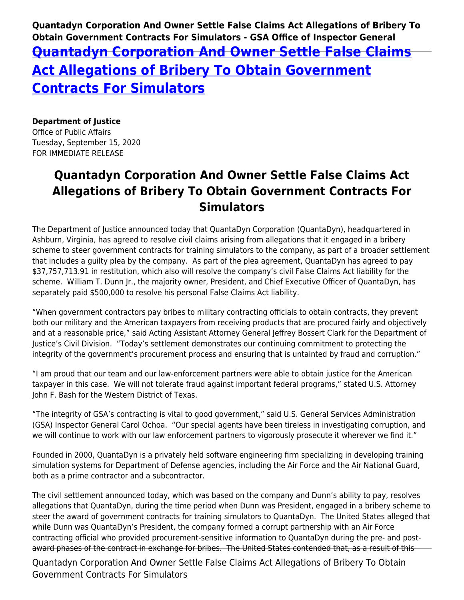**Quantadyn Corporation And Owner Settle False Claims Act Allegations of Bribery To Obtain Government Contracts For Simulators - GSA Office of Inspector General [Quantadyn Corporation And Owner Settle False Claims](https://www.gsaig.gov/news/quantadyn-corporation-and-owner-settle-false-claims-act-allegations-bribery-obtain-government) [Act Allegations of Bribery To Obtain Government](https://www.gsaig.gov/news/quantadyn-corporation-and-owner-settle-false-claims-act-allegations-bribery-obtain-government) [Contracts For Simulators](https://www.gsaig.gov/news/quantadyn-corporation-and-owner-settle-false-claims-act-allegations-bribery-obtain-government)**

**Department of Justice** Office of Public Affairs

Tuesday, September 15, 2020 FOR IMMEDIATE RELEASE

## **Quantadyn Corporation And Owner Settle False Claims Act Allegations of Bribery To Obtain Government Contracts For Simulators**

The Department of Justice announced today that QuantaDyn Corporation (QuantaDyn), headquartered in Ashburn, Virginia, has agreed to resolve civil claims arising from allegations that it engaged in a bribery scheme to steer government contracts for training simulators to the company, as part of a broader settlement that includes a guilty plea by the company. As part of the plea agreement, QuantaDyn has agreed to pay \$37,757,713.91 in restitution, which also will resolve the company's civil False Claims Act liability for the scheme. William T. Dunn Jr., the majority owner, President, and Chief Executive Officer of QuantaDyn, has separately paid \$500,000 to resolve his personal False Claims Act liability.

"When government contractors pay bribes to military contracting officials to obtain contracts, they prevent both our military and the American taxpayers from receiving products that are procured fairly and objectively and at a reasonable price," said Acting Assistant Attorney General Jeffrey Bossert Clark for the Department of Justice's Civil Division. "Today's settlement demonstrates our continuing commitment to protecting the integrity of the government's procurement process and ensuring that is untainted by fraud and corruption."

"I am proud that our team and our law-enforcement partners were able to obtain justice for the American taxpayer in this case. We will not tolerate fraud against important federal programs," stated U.S. Attorney John F. Bash for the Western District of Texas.

"The integrity of GSA's contracting is vital to good government," said U.S. General Services Administration (GSA) Inspector General Carol Ochoa. "Our special agents have been tireless in investigating corruption, and we will continue to work with our law enforcement partners to vigorously prosecute it wherever we find it."

Founded in 2000, QuantaDyn is a privately held software engineering firm specializing in developing training simulation systems for Department of Defense agencies, including the Air Force and the Air National Guard, both as a prime contractor and a subcontractor.

The civil settlement announced today, which was based on the company and Dunn's ability to pay, resolves allegations that QuantaDyn, during the time period when Dunn was President, engaged in a bribery scheme to steer the award of government contracts for training simulators to QuantaDyn. The United States alleged that while Dunn was QuantaDyn's President, the company formed a corrupt partnership with an Air Force contracting official who provided procurement-sensitive information to QuantaDyn during the pre- and postaward phases of the contract in exchange for bribes. The United States contended that, as a result of this

Quantadyn Corporation And Owner Settle False Claims Act Allegations of Bribery To Obtain Government Contracts For Simulators